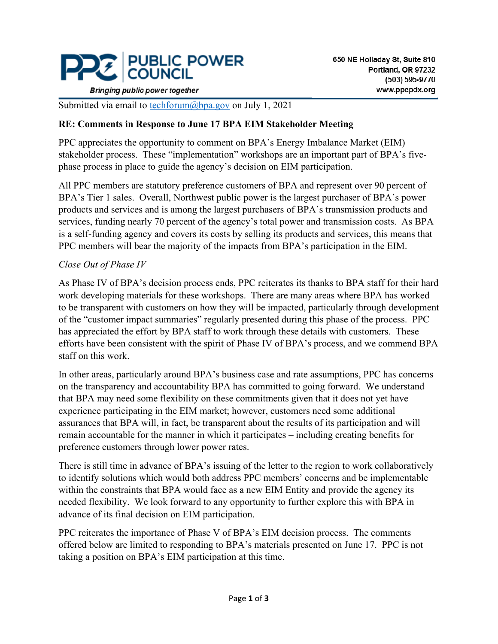

**Bringing public power together** 

Submitted via email to [techforum@bpa.gov](mailto:techforum@bpa.gov) on July 1, 2021

### **RE: Comments in Response to June 17 BPA EIM Stakeholder Meeting**

PPC appreciates the opportunity to comment on BPA's Energy Imbalance Market (EIM) stakeholder process. These "implementation" workshops are an important part of BPA's fivephase process in place to guide the agency's decision on EIM participation.

All PPC members are statutory preference customers of BPA and represent over 90 percent of BPA's Tier 1 sales. Overall, Northwest public power is the largest purchaser of BPA's power products and services and is among the largest purchasers of BPA's transmission products and services, funding nearly 70 percent of the agency's total power and transmission costs. As BPA is a self-funding agency and covers its costs by selling its products and services, this means that PPC members will bear the majority of the impacts from BPA's participation in the EIM.

### *Close Out of Phase IV*

As Phase IV of BPA's decision process ends, PPC reiterates its thanks to BPA staff for their hard work developing materials for these workshops. There are many areas where BPA has worked to be transparent with customers on how they will be impacted, particularly through development of the "customer impact summaries" regularly presented during this phase of the process. PPC has appreciated the effort by BPA staff to work through these details with customers. These efforts have been consistent with the spirit of Phase IV of BPA's process, and we commend BPA staff on this work.

In other areas, particularly around BPA's business case and rate assumptions, PPC has concerns on the transparency and accountability BPA has committed to going forward. We understand that BPA may need some flexibility on these commitments given that it does not yet have experience participating in the EIM market; however, customers need some additional assurances that BPA will, in fact, be transparent about the results of its participation and will remain accountable for the manner in which it participates – including creating benefits for preference customers through lower power rates.

There is still time in advance of BPA's issuing of the letter to the region to work collaboratively to identify solutions which would both address PPC members' concerns and be implementable within the constraints that BPA would face as a new EIM Entity and provide the agency its needed flexibility. We look forward to any opportunity to further explore this with BPA in advance of its final decision on EIM participation.

PPC reiterates the importance of Phase V of BPA's EIM decision process. The comments offered below are limited to responding to BPA's materials presented on June 17. PPC is not taking a position on BPA's EIM participation at this time.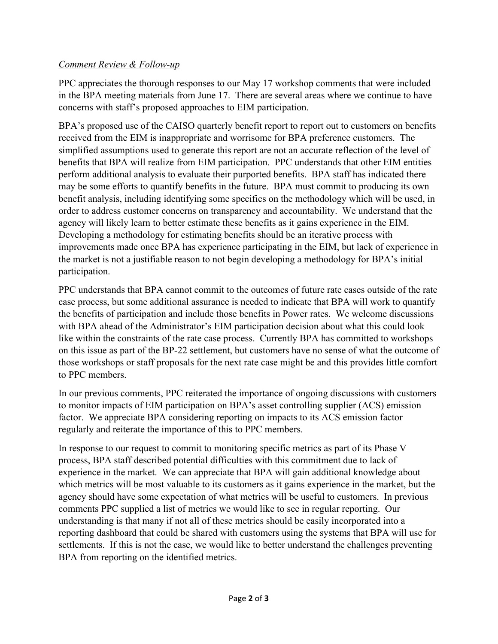### *Comment Review & Follow-up*

PPC appreciates the thorough responses to our May 17 workshop comments that were included in the BPA meeting materials from June 17. There are several areas where we continue to have concerns with staff's proposed approaches to EIM participation.

BPA's proposed use of the CAISO quarterly benefit report to report out to customers on benefits received from the EIM is inappropriate and worrisome for BPA preference customers. The simplified assumptions used to generate this report are not an accurate reflection of the level of benefits that BPA will realize from EIM participation. PPC understands that other EIM entities perform additional analysis to evaluate their purported benefits. BPA staff has indicated there may be some efforts to quantify benefits in the future. BPA must commit to producing its own benefit analysis, including identifying some specifics on the methodology which will be used, in order to address customer concerns on transparency and accountability. We understand that the agency will likely learn to better estimate these benefits as it gains experience in the EIM. Developing a methodology for estimating benefits should be an iterative process with improvements made once BPA has experience participating in the EIM, but lack of experience in the market is not a justifiable reason to not begin developing a methodology for BPA's initial participation.

PPC understands that BPA cannot commit to the outcomes of future rate cases outside of the rate case process, but some additional assurance is needed to indicate that BPA will work to quantify the benefits of participation and include those benefits in Power rates. We welcome discussions with BPA ahead of the Administrator's EIM participation decision about what this could look like within the constraints of the rate case process. Currently BPA has committed to workshops on this issue as part of the BP-22 settlement, but customers have no sense of what the outcome of those workshops or staff proposals for the next rate case might be and this provides little comfort to PPC members.

In our previous comments, PPC reiterated the importance of ongoing discussions with customers to monitor impacts of EIM participation on BPA's asset controlling supplier (ACS) emission factor. We appreciate BPA considering reporting on impacts to its ACS emission factor regularly and reiterate the importance of this to PPC members.

In response to our request to commit to monitoring specific metrics as part of its Phase V process, BPA staff described potential difficulties with this commitment due to lack of experience in the market. We can appreciate that BPA will gain additional knowledge about which metrics will be most valuable to its customers as it gains experience in the market, but the agency should have some expectation of what metrics will be useful to customers. In previous comments PPC supplied a list of metrics we would like to see in regular reporting. Our understanding is that many if not all of these metrics should be easily incorporated into a reporting dashboard that could be shared with customers using the systems that BPA will use for settlements. If this is not the case, we would like to better understand the challenges preventing BPA from reporting on the identified metrics.